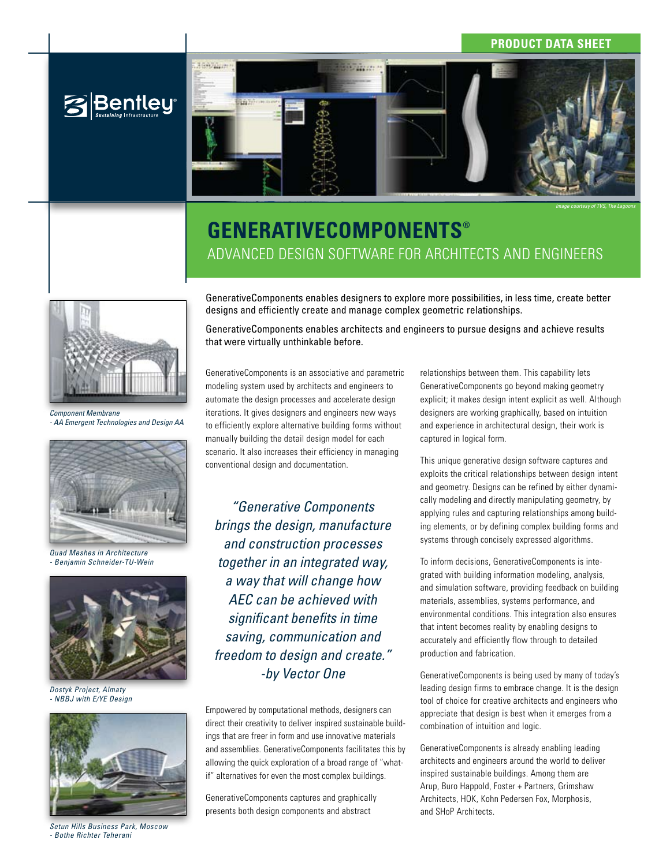### **Product Data Sheet**



*Image courtesy of TVS, The Lagoons*

# **GenerativeComponents®** Advanced design software for architects and engineers

**Bentley** 

*Component Membrane - AA Emergent Technologies and Design AA*



*Quad Meshes in Architecture - Benjamin Schneider-TU-Wein*



*Dostyk Project, Almaty - NBBJ with E/YE Design*



*Setun Hills Business Park, Moscow - Bothe Richter Teherani*

GenerativeComponents enables designers to explore more possibilities, in less time, create better designs and efficiently create and manage complex geometric relationships.

GenerativeComponents enables architects and engineers to pursue designs and achieve results that were virtually unthinkable before.

GenerativeComponents is an associative and parametric modeling system used by architects and engineers to automate the design processes and accelerate design iterations. It gives designers and engineers new ways to efficiently explore alternative building forms without manually building the detail design model for each scenario. It also increases their efficiency in managing conventional design and documentation.

*"Generative Components brings the design, manufacture and construction processes together in an integrated way, a way that will change how AEC can be achieved with significant benefits in time saving, communication and freedom to design and create." -by Vector One*

Empowered by computational methods, designers can direct their creativity to deliver inspired sustainable buildings that are freer in form and use innovative materials and assemblies. GenerativeComponents facilitates this by allowing the quick exploration of a broad range of "whatif" alternatives for even the most complex buildings.

GenerativeComponents captures and graphically presents both design components and abstract

relationships between them. This capability lets GenerativeComponents go beyond making geometry explicit; it makes design intent explicit as well. Although designers are working graphically, based on intuition and experience in architectural design, their work is captured in logical form.

This unique generative design software captures and exploits the critical relationships between design intent and geometry. Designs can be refined by either dynamically modeling and directly manipulating geometry, by applying rules and capturing relationships among building elements, or by defining complex building forms and systems through concisely expressed algorithms.

To inform decisions, GenerativeComponents is integrated with building information modeling, analysis, and simulation software, providing feedback on building materials, assemblies, systems performance, and environmental conditions. This integration also ensures that intent becomes reality by enabling designs to accurately and efficiently flow through to detailed production and fabrication.

GenerativeComponents is being used by many of today's leading design firms to embrace change. It is the design tool of choice for creative architects and engineers who appreciate that design is best when it emerges from a combination of intuition and logic.

GenerativeComponents is already enabling leading architects and engineers around the world to deliver inspired sustainable buildings. Among them are Arup, Buro Happold, Foster + Partners, Grimshaw Architects, HOK, Kohn Pedersen Fox, Morphosis, and SHoP Architects.